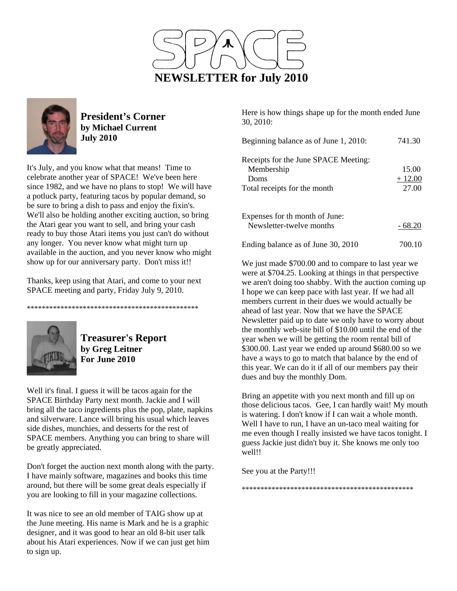



**President's Corner by Michael Current July 2010**

It's July, and you know what that means! Time to celebrate another year of SPACE! We've been here since 1982, and we have no plans to stop! We will have a potluck party, featuring tacos by popular demand, so be sure to bring a dish to pass and enjoy the fixin's. We'll also be holding another exciting auction, so bring the Atari gear you want to sell, and bring your cash ready to buy those Atari items you just can't do without any longer. You never know what might turn up available in the auction, and you never know who might show up for our anniversary party. Don't miss it!!

Thanks, keep using that Atari, and come to your next SPACE meeting and party, Friday July 9, 2010.

\*\*\*\*\*\*\*\*\*\*\*\*\*\*\*\*\*\*\*\*\*\*\*\*\*\*\*\*\*\*\*\*\*\*\*\*\*\*\*\*\*\*\*\*\*\*



**Treasurer's Report by Greg Leitner For June 2010** 

Well it's final. I guess it will be tacos again for the SPACE Birthday Party next month. Jackie and I will bring all the taco ingredients plus the pop, plate, napkins and silverware. Lance will bring his usual which leaves side dishes, munchies, and desserts for the rest of SPACE members. Anything you can bring to share will be greatly appreciated.

Don't forget the auction next month along with the party. I have mainly software, magazines and books this time around, but there will be some great deals especially if you are looking to fill in your magazine collections.

It was nice to see an old member of TAIG show up at the June meeting. His name is Mark and he is a graphic designer, and it was good to hear an old 8-bit user talk about his Atari experiences. Now if we can just get him to sign up.

Here is how things shape up for the month ended June 30, 2010:

| Beginning balance as of June 1, 2010:                                                      | 741.30                     |
|--------------------------------------------------------------------------------------------|----------------------------|
| Receipts for the June SPACE Meeting:<br>Membership<br>Doms<br>Total receipts for the month | 15.00<br>$+12.00$<br>27.00 |
| Expenses for th month of June:<br>Newsletter-twelve months                                 | - 68.20                    |
| Ending balance as of June 30, 2010                                                         | 700.10                     |

We just made \$700.00 and to compare to last year we were at \$704.25. Looking at things in that perspective we aren't doing too shabby. With the auction coming up I hope we can keep pace with last year. If we had all members current in their dues we would actually be ahead of last year. Now that we have the SPACE Newsletter paid up to date we only have to worry about the monthly web-site bill of \$10.00 until the end of the year when we will be getting the room rental bill of \$300.00. Last year we ended up around \$680.00 so we have a ways to go to match that balance by the end of this year. We can do it if all of our members pay their dues and buy the monthly Dom.

Bring an appetite with you next month and fill up on those delicious tacos. Gee, I can hardly wait! My mouth is watering. I don't know if I can wait a whole month. Well I have to run, I have an un-taco meal waiting for me even though I really insisted we have tacos tonight. I guess Jackie just didn't buy it. She knows me only too well!!

See you at the Party!!!

\*\*\*\*\*\*\*\*\*\*\*\*\*\*\*\*\*\*\*\*\*\*\*\*\*\*\*\*\*\*\*\*\*\*\*\*\*\*\*\*\*\*\*\*\*\*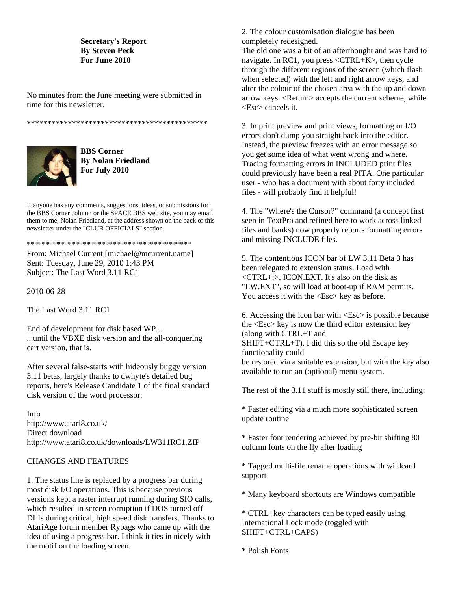### **Secretary's Report By Steven Peck For June 2010**

No minutes from the June meeting were submitted in time for this newsletter.

\*\*\*\*\*\*\*\*\*\*\*\*\*\*\*\*\*\*\*\*\*\*\*\*\*\*\*\*\*\*\*\*\*\*\*\*\*\*\*\*\*\*\*\*



**BBS Corner By Nolan Friedland For July 2010** 

If anyone has any comments, suggestions, ideas, or submissions for the BBS Corner column or the SPACE BBS web site, you may email them to me, Nolan Friedland, at the address shown on the back of this newsletter under the "CLUB OFFICIALS" section.

\*\*\*\*\*\*\*\*\*\*\*\*\*\*\*\*\*\*\*\*\*\*\*\*\*\*\*\*\*\*\*\*\*\*\*\*\*\*\*\*\*\*\*\*

From: Michael Current [michael@mcurrent.name] Sent: Tuesday, June 29, 2010 1:43 PM Subject: The Last Word 3.11 RC1

2010-06-28

The Last Word 3.11 RC1

End of development for disk based WP... ...until the VBXE disk version and the all-conquering cart version, that is.

After several false-starts with hideously buggy version 3.11 betas, largely thanks to dwhyte's detailed bug reports, here's Release Candidate 1 of the final standard disk version of the word processor:

Info http://www.atari8.co.uk/ Direct download http://www.atari8.co.uk/downloads/LW311RC1.ZIP

### CHANGES AND FEATURES

1. The status line is replaced by a progress bar during most disk I/O operations. This is because previous versions kept a raster interrupt running during SIO calls, which resulted in screen corruption if DOS turned off DLIs during critical, high speed disk transfers. Thanks to AtariAge forum member Rybags who came up with the idea of using a progress bar. I think it ties in nicely with the motif on the loading screen.

2. The colour customisation dialogue has been completely redesigned.

The old one was a bit of an afterthought and was hard to navigate. In RC1, you press <CTRL+K>, then cycle through the different regions of the screen (which flash when selected) with the left and right arrow keys, and alter the colour of the chosen area with the up and down arrow keys. <Return> accepts the current scheme, while <Esc> cancels it.

3. In print preview and print views, formatting or I/O errors don't dump you straight back into the editor. Instead, the preview freezes with an error message so you get some idea of what went wrong and where. Tracing formatting errors in INCLUDED print files could previously have been a real PITA. One particular user - who has a document with about forty included files - will probably find it helpful!

4. The "Where's the Cursor?" command (a concept first seen in TextPro and refined here to work across linked files and banks) now properly reports formatting errors and missing INCLUDE files.

5. The contentious ICON bar of LW 3.11 Beta 3 has been relegated to extension status. Load with <CTRL+;>, ICON.EXT. It's also on the disk as "LW.EXT", so will load at boot-up if RAM permits. You access it with the  $\langle$ Esc $>$  key as before.

6. Accessing the icon bar with <Esc> is possible because the <Esc> key is now the third editor extension key (along with CTRL+T and SHIFT+CTRL+T). I did this so the old Escape key functionality could be restored via a suitable extension, but with the key also available to run an (optional) menu system.

The rest of the 3.11 stuff is mostly still there, including:

\* Faster editing via a much more sophisticated screen update routine

\* Faster font rendering achieved by pre-bit shifting 80 column fonts on the fly after loading

\* Tagged multi-file rename operations with wildcard support

\* Many keyboard shortcuts are Windows compatible

\* CTRL+key characters can be typed easily using International Lock mode (toggled with SHIFT+CTRL+CAPS)

\* Polish Fonts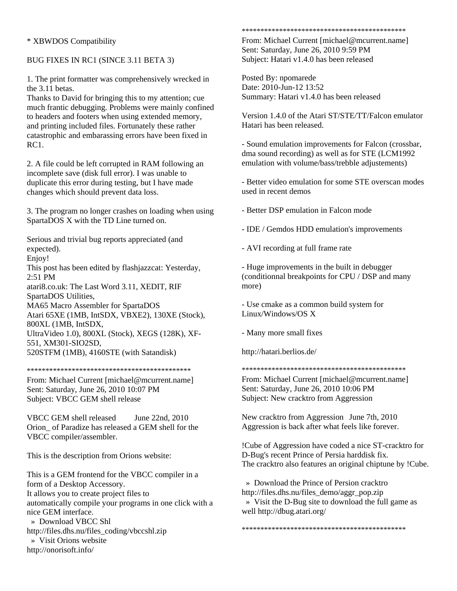## \* XBWDOS Compatibility

## BUG FIXES IN RC1 (SINCE 3.11 BETA 3)

1. The print formatter was comprehensively wrecked in the 3.11 betas.

Thanks to David for bringing this to my attention; cue much frantic debugging. Problems were mainly confined to headers and footers when using extended memory, and printing included files. Fortunately these rather catastrophic and embarassing errors have been fixed in RC1.

2. A file could be left corrupted in RAM following an incomplete save (disk full error). I was unable to duplicate this error during testing, but I have made changes which should prevent data loss.

3. The program no longer crashes on loading when using SpartaDOS X with the TD Line turned on.

Serious and trivial bug reports appreciated (and expected).

Enjoy!

This post has been edited by flashjazzcat: Yesterday, 2:51 PM

atari8.co.uk: The Last Word 3.11, XEDIT, RIF SpartaDOS Utilities,

MA65 Macro Assembler for SpartaDOS

Atari 65XE (1MB, IntSDX, VBXE2), 130XE (Stock), 800XL (1MB, IntSDX,

UltraVideo 1.0), 800XL (Stock), XEGS (128K), XF-

551, XM301-SIO2SD, 520STFM (1MB), 4160STE (with Satandisk)

\*\*\*\*\*\*\*\*\*\*\*\*\*\*\*\*\*\*\*\*\*\*\*\*\*\*\*\*\*\*\*\*\*\*\*\*\*\*\*\*\*\*\*\*

From: Michael Current [michael@mcurrent.name] Sent: Saturday, June 26, 2010 10:07 PM Subject: VBCC GEM shell release

VBCC GEM shell released June 22nd, 2010 Orion\_ of Paradize has released a GEM shell for the VBCC compiler/assembler.

This is the description from Orions website:

This is a GEM frontend for the VBCC compiler in a form of a Desktop Accessory. It allows you to create project files to automatically compile your programs in one click with a nice GEM interface.

 » Download VBCC Shl http://files.dhs.nu/files\_coding/vbccshl.zip » Visit Orions website http://onorisoft.info/

#### \*\*\*\*\*\*\*\*\*\*\*\*\*\*\*\*\*\*\*\*\*\*\*\*\*\*\*\*\*\*\*\*\*\*\*\*\*\*\*\*\*\*\*\*

From: Michael Current [michael@mcurrent.name] Sent: Saturday, June 26, 2010 9:59 PM Subject: Hatari v1.4.0 has been released

Posted By: npomarede Date: 2010-Jun-12 13:52 Summary: Hatari v1.4.0 has been released

Version 1.4.0 of the Atari ST/STE/TT/Falcon emulator Hatari has been released.

- Sound emulation improvements for Falcon (crossbar, dma sound recording) as well as for STE (LCM1992 emulation with volume/bass/trebble adjustements)

- Better video emulation for some STE overscan modes used in recent demos

- Better DSP emulation in Falcon mode

- IDE / Gemdos HDD emulation's improvements

- AVI recording at full frame rate

- Huge improvements in the built in debugger (conditionnal breakpoints for CPU / DSP and many more)

- Use cmake as a common build system for Linux/Windows/OS X

- Many more small fixes

http://hatari.berlios.de/

\*\*\*\*\*\*\*\*\*\*\*\*\*\*\*\*\*\*\*\*\*\*\*\*\*\*\*\*\*\*\*\*\*\*\*\*\*\*\*\*\*\*\*\*

From: Michael Current [michael@mcurrent.name] Sent: Saturday, June 26, 2010 10:06 PM Subject: New cracktro from Aggression

New cracktro from Aggression June 7th, 2010 Aggression is back after what feels like forever.

!Cube of Aggression have coded a nice ST-cracktro for D-Bug's recent Prince of Persia harddisk fix. The cracktro also features an original chiptune by !Cube.

 » Download the Prince of Persion cracktro http://files.dhs.nu/files\_demo/aggr\_pop.zip » Visit the D-Bug site to download the full game as well http://dbug.atari.org/

\*\*\*\*\*\*\*\*\*\*\*\*\*\*\*\*\*\*\*\*\*\*\*\*\*\*\*\*\*\*\*\*\*\*\*\*\*\*\*\*\*\*\*\*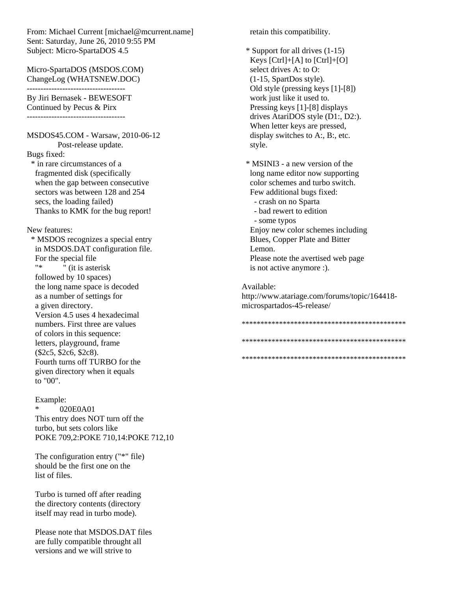From: Michael Current [michael@mcurrent.name] Sent: Saturday, June 26, 2010 9:55 PM Subject: Micro-SpartaDOS 4.5

Micro-SpartaDOS (MSDOS.COM) ChangeLog (WHATSNEW.DOC)

------------------------------------

By Jiri Bernasek - BEWESOFT Continued by Pecus & Pirx ------------------------------------

MSDOS45.COM - Warsaw, 2010-06-12 Post-release update. Bugs fixed:

 \* in rare circumstances of a fragmented disk (specifically when the gap between consecutive sectors was between 128 and 254 secs, the loading failed) Thanks to KMK for the bug report!

New features:

 \* MSDOS recognizes a special entry in MSDOS.DAT configuration file. For the special file  $\frac{1}{x}$  (it is asterisk followed by 10 spaces) the long name space is decoded as a number of settings for a given directory. Version 4.5 uses 4 hexadecimal numbers. First three are values of colors in this sequence: letters, playground, frame (\$2c5, \$2c6, \$2c8). Fourth turns off TURBO for the given directory when it equals to "00".

#### Example:

020E0A01 This entry does NOT turn off the turbo, but sets colors like POKE 709,2:POKE 710,14:POKE 712,10

 The configuration entry ("\*" file) should be the first one on the list of files.

 Turbo is turned off after reading the directory contents (directory itself may read in turbo mode).

 Please note that MSDOS.DAT files are fully compatible throught all versions and we will strive to

retain this compatibility.

 \* Support for all drives (1-15) Keys [Ctrl]+[A] to [Ctrl]+[O] select drives A: to O: (1-15, SpartDos style). Old style (pressing keys [1]-[8]) work just like it used to. Pressing keys [1]-[8] displays drives AtariDOS style (D1:, D2:). When letter keys are pressed, display switches to A:, B:, etc. style.

 \* MSINI3 - a new version of the long name editor now supporting color schemes and turbo switch. Few additional bugs fixed:

- crash on no Sparta
- bad rewert to edition
- some typos

 Enjoy new color schemes including Blues, Copper Plate and Bitter Lemon. Please note the avertised web page is not active anymore :).

Available: http://www.atariage.com/forums/topic/164418 microspartados-45-release/

\*\*\*\*\*\*\*\*\*\*\*\*\*\*\*\*\*\*\*\*\*\*\*\*\*\*\*\*\*\*\*\*\*\*\*\*\*\*\*\*\*\*\*\* \*\*\*\*\*\*\*\*\*\*\*\*\*\*\*\*\*\*\*\*\*\*\*\*\*\*\*\*\*\*\*\*\*\*\*\*\*\*\*\*\*\*\*\* \*\*\*\*\*\*\*\*\*\*\*\*\*\*\*\*\*\*\*\*\*\*\*\*\*\*\*\*\*\*\*\*\*\*\*\*\*\*\*\*\*\*\*\*